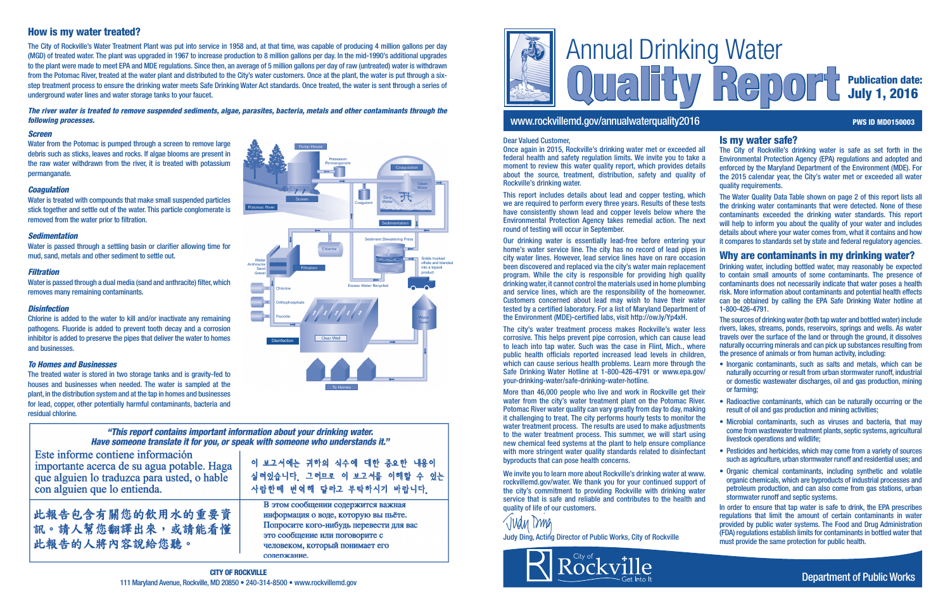

## www.rockvillemd.gov/annualwaterquality2016 PWS ID MD0150003

# Publication date: July 1, 2016

Is my water safe?

The City of Rockville's drinking water is safe as set forth in the

#### Environmental Protection Agency (EPA) regulations and adopted and enforced by the Maryland Department of the Environment (MDE). For the 2015 calendar year, the City's water met or exceeded all water quality requirements. The Water Quality Data Table shown on page 2 of this report lists all the drinking water contaminants that were detected. None of these contaminants exceeded the drinking water standards. This report will help to inform you about the quality of your water and includes details about where your water comes from, what it contains and how it compares to standards set by state and federal regulatory agencies. Why are contaminants in my drinking water? Drinking water, including bottled water, may reasonably be expected to contain small amounts of some contaminants. The presence of contaminants does not necessarily indicate that water poses a health risk. More information about contaminants and potential health effects can be obtained by calling the EPA Safe Drinking Water hotline at 1-800-426-4791. The sources of drinking water (both tap water and bottled water) include rivers, lakes, streams, ponds, reservoirs, springs and wells. As water travels over the surface of the land or through the ground, it dissolves naturally occurring minerals and can pick up substances resulting from the presence of animals or from human activity, including: • Inorganic contaminants, such as salts and metals, which can be naturally occurring or result from urban stormwater runoff, industrial or domestic wastewater discharges, oil and gas production, mining or farming; • Radioactive contaminants, which can be naturally occurring or the result of oil and gas production and mining activities; • Microbial contaminants, such as viruses and bacteria, that may

- come from wastewater treatment plants, septic systems, agricultural livestock operations and wildlife;
- Pesticides and herbicides, which may come from a variety of sources such as agriculture, urban stormwater runoff and residential uses; and
- Organic chemical contaminants, including synthetic and volatile organic chemicals, which are byproducts of industrial processes and petroleum production, and can also come from gas stations, urban stormwater runoff and septic systems.
	- In order to ensure that tap water is safe to drink, the EPA prescribes regulations that limit the amount of certain contaminants in water provided by public water systems. The Food and Drug Administration (FDA) regulations establish limits for contaminants in bottled water that must provide the same protection for public health.

#### *Screen*

Water from the Potomac is pumped through a screen to remove large debris such as sticks, leaves and rocks. If algae blooms are present in the raw water withdrawn from the river, it is treated with potassium permanganate.

#### *Coagulation*

Water is treated with compounds that make small suspended particles stick together and settle out of the water. This particle conglomerate is removed from the water prior to filtration.

#### *Sedimentation*

Water is passed through a settling basin or clarifier allowing time for mud, sand, metals and other sediment to settle out.

#### *Filtration*

Water is passed through a dual media (sand and anthracite) filter, which removes many remaining contaminants.

#### *Disinfection*

Chlorine is added to the water to kill and/or inactivate any remaining pathogens. Fluoride is added to prevent tooth decay and a corrosion inhibitor is added to preserve the pipes that deliver the water to homes and businesses.

#### *To Homes and Businesses*

We invite you to learn more about Rockville's drinking water at www. rockvillemd.gov/water. We thank you for your continued support of the city's commitment to providing Rockville with drinking water service that is safe and reliable and contributes to the health and quality of life of our customers.



The treated water is stored in two storage tanks and is gravity-fed to houses and businesses when needed. The water is sampled at the plant, in the distribution system and at the tap in homes and businesses for lead, copper, other potentially harmful contaminants, bacteria and residual chlorine.

#### "This report contains important information about your drinking water. Have someone translate it for you, or speak with someone who understands it."

Este informe contiene información importante acerca de su agua potable. Haga que alguien lo traduzca para usted, o hable con alguien que lo entienda.

此報告包含有關您的飲用水的重要資 訊。請人幫您翻譯出來,或請能看懂 此報告的人將內容說給您聽。

이 보고서에는 귀하의 식수에 대한 중요한 내용이 실려있습니다 그러므로 이 보고서를 이해할 수 있는 사람한테 번역해 답라고 부탁하시기 바람니다

В этом сообщении содержится важная информация о воде, которую вы пьёте. Попросите кого-нибудь перевести для вас это сообщение или поговорите с человеком, который понимает его сопержание.

# How is my water treated?

The City of Rockville's Water Treatment Plant was put into service in 1958 and, at that time, was capable of producing 4 million gallons per day (MGD) of treated water. The plant was upgraded in 1967 to increase production to 8 million gallons per day. In the mid-1990's additional upgrades to the plant were made to meet EPA and MDE regulations. Since then, an average of 5 million gallons per day of raw (untreated) water is withdrawn from the Potomac River, treated at the water plant and distributed to the City's water customers. Once at the plant, the water is put through a sixstep treatment process to ensure the drinking water meets Safe Drinking Water Act standards. Once treated, the water is sent through a series of underground water lines and water storage tanks to your faucet.

*The river water is treated to remove suspended sediments, algae, parasites, bacteria, metals and other contaminants through the following processes.*

#### Dear Valued Customer,

Once again in 2015, Rockville's drinking water met or exceeded all federal health and safety regulation limits. We invite you to take a moment to review this water quality report, which provides details about the source, treatment, distribution, safety and quality of Rockville's drinking water.



This report includes details about lead and copper testing, which we are required to perform every three years. Results of these tests have consistently shown lead and copper levels below where the Environmental Protection Agency takes remedial action. The next round of testing will occur in September.

Our drinking water is essentially lead-free before entering your home's water service line. The city has no record of lead pipes in city water lines. However, lead service lines have on rare occasion been discovered and replaced via the city's water main replacement program. While the city is responsible for providing high quality drinking water, it cannot control the materials used in home plumbing and service lines, which are the responsibility of the homeowner. Customers concerned about lead may wish to have their water tested by a certified laboratory. For a list of Maryland Department of the Environment (MDE)-certified labs, visit http://ow.ly/Yp4xH.

The city's water treatment process makes Rockville's water less corrosive. This helps prevent pipe corrosion, which can cause lead to leach into tap water. Such was the case in Flint, Mich., where public health officials reported increased lead levels in children, which can cause serious health problems. Learn more through the Safe Drinking Water Hotline at 1-800-426-4791 or www.epa.gov/ your-drinking-water/safe-drinking-water-hotline.

More than 46,000 people who live and work in Rockville get their water from the city's water treatment plant on the Potomac River. Potomac River water quality can vary greatly from day to day, making it challenging to treat. The city performs hourly tests to monitor the water treatment process. The results are used to make adjustments to the water treatment process. This summer, we will start using new chemical feed systems at the plant to help ensure compliance with more stringent water quality standards related to disinfectant byproducts that can pose health concerns.

Judy Ding, Acting Director of Public Works, City of Rockville